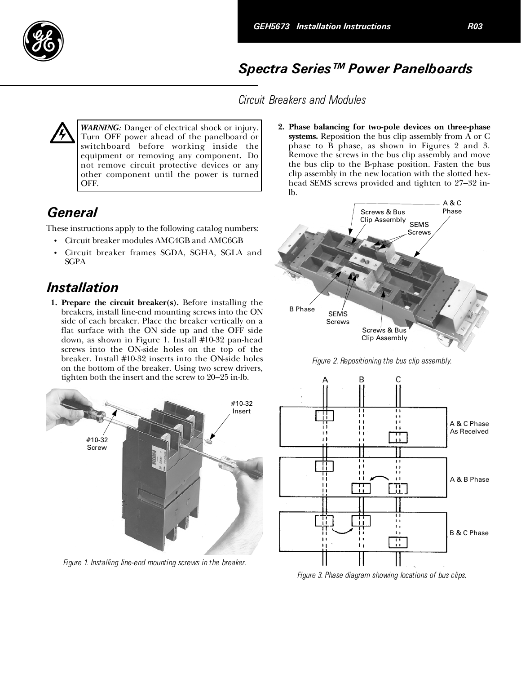

## Spectra Series™ Power Panelboards

Circuit Breakers and Modules

WARNING: Danger of electrical shock or injury. Turn OFF power ahead of the panelboard or switchboard before working inside the equipment or removing any component. Do not remove circuit protective devices or any other component until the power is turned OFF.

## **General**

These instructions apply to the following catalog numbers:

- •Circuit breaker modules AMC4GB and AMC6GB
- •Circuit breaker frames SGDA, SGHA, SGLA and SGPA

## Installation

1. Prepare the circuit breaker(s). Before installing the breakers, install line-end mounting screws into the ON side of each breaker. Place the breaker vertically on a flat surface with the ON side up and the OFF side down, as shown in Figure 1. Install #10-32 pan-head screws into the ON-side holes on the top of the breaker. Install #10-32 inserts into the ON-side holes on the bottom of the breaker. Using two screw drivers, tighten both the insert and the screw to 20–25 in-lb.



Figure 1. Installing line-end mounting screws in the breaker.

2. Phase balancing for two-pole devices on three-phase systems. Reposition the bus clip assembly from A or C phase to B phase, as shown in Figures 2 and 3. Remove the screws in the bus clip assembly and move the bus clip to the B-phase position. Fasten the bus clip assembly in the new location with the slotted hexhead SEMS screws provided and tighten to 27–32 inlb.



Figure 2. Repositioning the bus clip assembly.



Figure 3. Phase diagram showing locations of bus clips.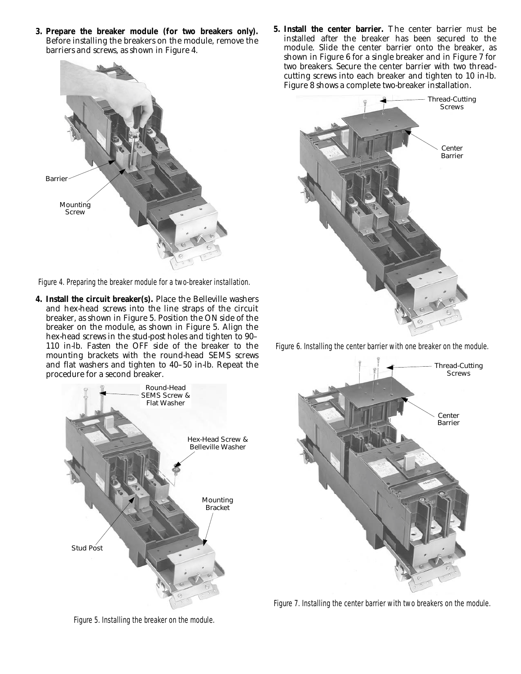**3. Prepare the breaker module (for two breakers only).** Before installing the breakers on the module, remove the barriers and screws, as shown in Figure 4.



*Figure 4. Preparing the breaker module for a two-breaker installation.* 

**4. Install the circuit breaker(s).** Place the Belleville washers and hex-head screws into the line straps of the circuit breaker, as shown in Figure 5. Position the ON side of the breaker on the module, as shown in Figure 5. Align the hex-head screws in the stud-post holes and tighten to 90– 110 in-lb. Fasten the OFF side of the breaker to the mounting brackets with the round-head SEMS screws and flat washers and tighten to 40–50 in-lb. Repeat the procedure for a second breaker.



*Figure 5. Installing the breaker on the module.* 

**5. Install the center barrier.** The center barrier *must* be installed after the breaker has been secured to the module. Slide the center barrier onto the breaker, as shown in Figure 6 for a single breaker and in Figure 7 for two breakers. Secure the center barrier with two threadcutting screws into each breaker and tighten to 10 in-lb. Figure 8 shows a complete two-breaker installation.



*Figure 6. Installing the center barrier with one breaker on the module.* 



*Figure 7. Installing the center barrier with two breakers on the module.*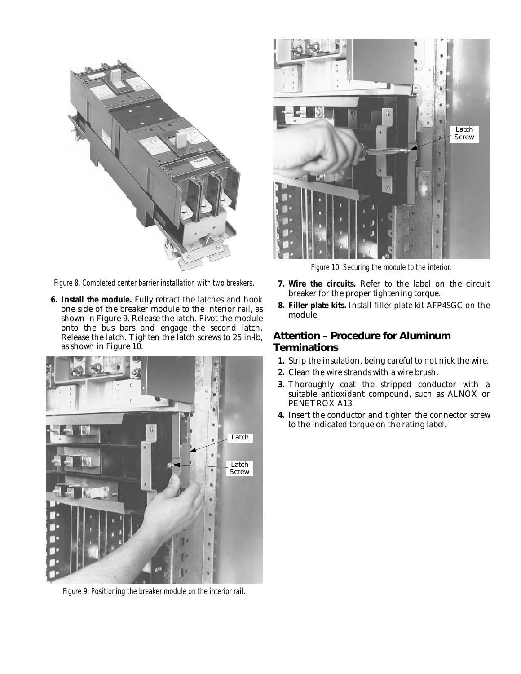

*Figure 8. Completed center barrier installation with two breakers.* 

**6. Install the module.** Fully retract the latches and hook one side of the breaker module to the interior rail, as shown in Figure 9. Release the latch. Pivot the module onto the bus bars and engage the second latch. Release the latch. Tighten the latch screws to 25 in-lb, as shown in Figure 10.



*Figure 9. Positioning the breaker module on the interior rail.* 



*Figure 10. Securing the module to the interior.* 

- **7. Wire the circuits.** Refer to the label on the circuit breaker for the proper tightening torque.
- **8. Filler plate kits.** Install filler plate kit AFP4SGC on the module.

## *Attention – Procedure for Aluminum Terminations*

- **1.** Strip the insulation, being careful to not nick the wire.
- **2.** Clean the wire strands with a wire brush.
- **3.** Thoroughly coat the stripped conductor with a suitable antioxidant compound, such as ALNOX or PENETROX A13.
- **4.** Insert the conductor and tighten the connector screw to the indicated torque on the rating label.